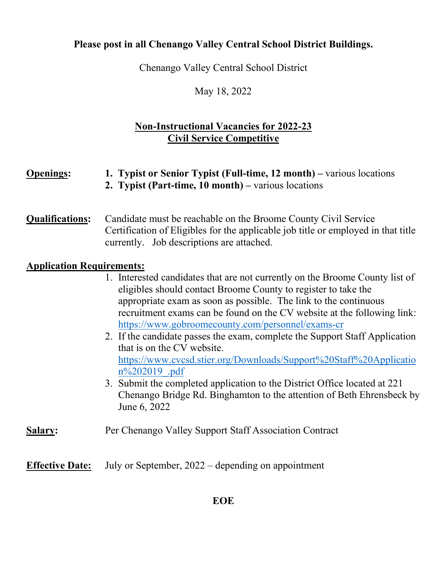# **Please post in all Chenango Valley Central School District Buildings.**

Chenango Valley Central School District

May 18, 2022

## **Non-Instructional Vacancies for 2022-23 Civil Service Competitive**

| <b>Openings:</b>                 | 1. Typist or Senior Typist (Full-time, 12 month) – various locations<br>2. Typist (Part-time, 10 month) – various locations                                                                                                                                                                                                                                                                                                                                                                                                                                                                                                                                                                                                             |
|----------------------------------|-----------------------------------------------------------------------------------------------------------------------------------------------------------------------------------------------------------------------------------------------------------------------------------------------------------------------------------------------------------------------------------------------------------------------------------------------------------------------------------------------------------------------------------------------------------------------------------------------------------------------------------------------------------------------------------------------------------------------------------------|
| <b>Qualifications:</b>           | Candidate must be reachable on the Broome County Civil Service<br>Certification of Eligibles for the applicable job title or employed in that title<br>currently. Job descriptions are attached.                                                                                                                                                                                                                                                                                                                                                                                                                                                                                                                                        |
| <b>Application Requirements:</b> | 1. Interested candidates that are not currently on the Broome County list of<br>eligibles should contact Broome County to register to take the<br>appropriate exam as soon as possible. The link to the continuous<br>recruitment exams can be found on the CV website at the following link:<br>https://www.gobroomecounty.com/personnel/exams-cr<br>2. If the candidate passes the exam, complete the Support Staff Application<br>that is on the CV website.<br>https://www.cvcsd.stier.org/Downloads/Support%20Staff%20Applicatio<br>$n\frac{9}{202019}$ .pdf<br>3. Submit the completed application to the District Office located at 221<br>Chenango Bridge Rd. Binghamton to the attention of Beth Ehrensbeck by<br>June 6, 2022 |
| <b>Salary:</b>                   | Per Chenango Valley Support Staff Association Contract                                                                                                                                                                                                                                                                                                                                                                                                                                                                                                                                                                                                                                                                                  |

**Effective Date:** July or September, 2022 – depending on appointment

## **EOE**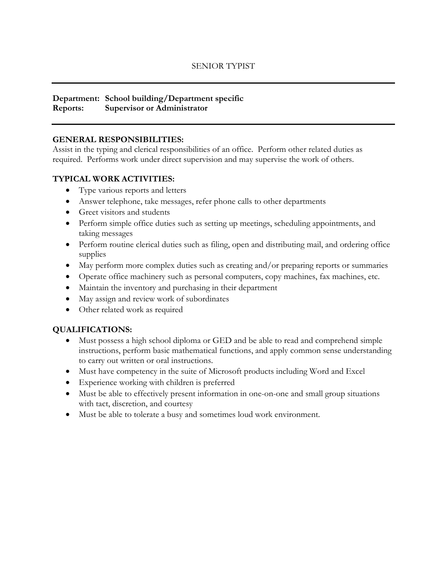### **Department: School building/Department specific Reports: Supervisor or Administrator**

## **GENERAL RESPONSIBILITIES:**

Assist in the typing and clerical responsibilities of an office. Perform other related duties as required. Performs work under direct supervision and may supervise the work of others.

## **TYPICAL WORK ACTIVITIES:**

- Type various reports and letters
- Answer telephone, take messages, refer phone calls to other departments
- Greet visitors and students
- Perform simple office duties such as setting up meetings, scheduling appointments, and taking messages
- Perform routine clerical duties such as filing, open and distributing mail, and ordering office supplies
- May perform more complex duties such as creating and/or preparing reports or summaries
- Operate office machinery such as personal computers, copy machines, fax machines, etc.
- Maintain the inventory and purchasing in their department
- May assign and review work of subordinates
- Other related work as required

## **QUALIFICATIONS:**

- Must possess a high school diploma or GED and be able to read and comprehend simple instructions, perform basic mathematical functions, and apply common sense understanding to carry out written or oral instructions.
- Must have competency in the suite of Microsoft products including Word and Excel
- Experience working with children is preferred
- Must be able to effectively present information in one-on-one and small group situations with tact, discretion, and courtesy
- Must be able to tolerate a busy and sometimes loud work environment.